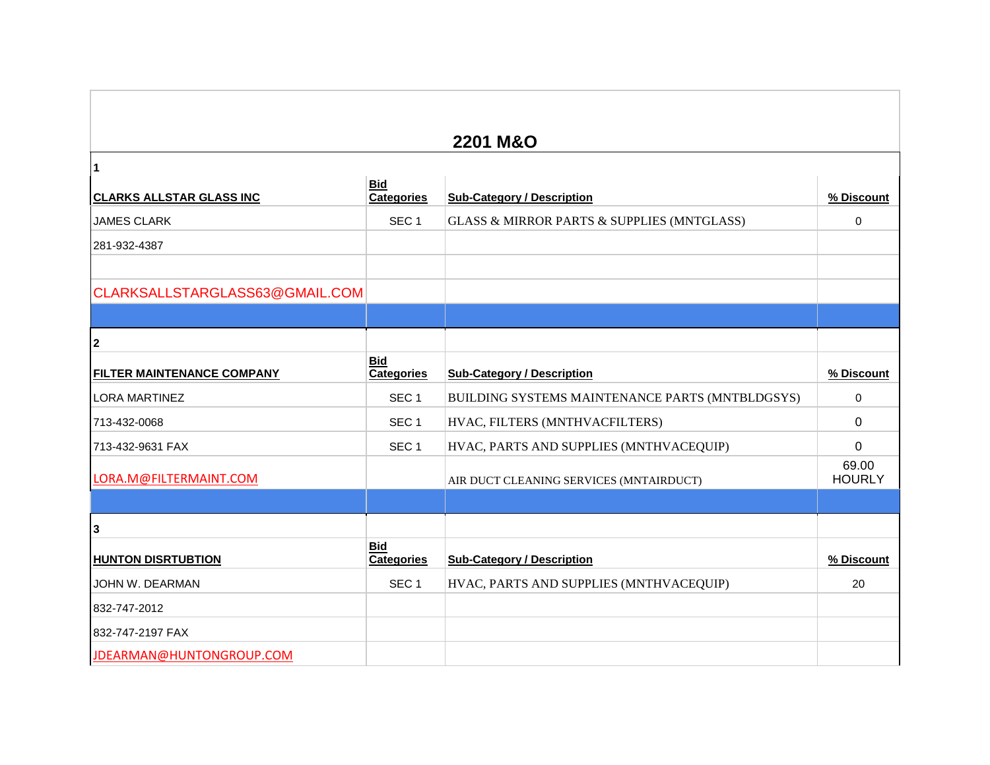## **2201 M&O CLARKS ALLSTAR GLASS INC Bid**<br>Categories **Sub-Category / Description 1999 1999 1999 1999 1999 1999 1999 1999 1999 1999 1999 1999 1999 1999 1999 1999 1999 1999 1999 1999 1999 1999 1999 1999 1999 1999 1999 199** JAMES CLARK SEC 1 GLASS & MIRROR PARTS & SUPPLIES (MNTGLASS) 0 281-932-4387 CLARKSALLSTARGLASS63@GMAIL.COM **2 FILTER MAINTENANCE COMPANY Bid Categories Sub-Category / Description % Discount** LORA MARTINEZ SEC 1 BUILDING SYSTEMS MAINTENANCE PARTS (MNTBLDGSYS) 0 713-432-0068 SEC 1 HVAC, FILTERS (MNTHVACFILTERS) 0 713-432-9631 FAX SEC 1 HVAC, PARTS AND SUPPLIES (MNTHVACEQUIP) 0 LORA.M@FILTERMAINT.COM AIR DUCT CLEANING SERVICES (MNTAIRDUCT) 69.00 **HOURLY HUNTON DISRTUBTION Bid**<br>Categories **Category / Description 1988 Sub-Category / Description** JOHN W. DEARMAN SEC 1 HVAC, PARTS AND SUPPLIES (MNTHVACEQUIP) 20 832-747-2012

**1**

**3**

832-747-2197 FAX

JDEARMAN@HUNTONGROUP.COM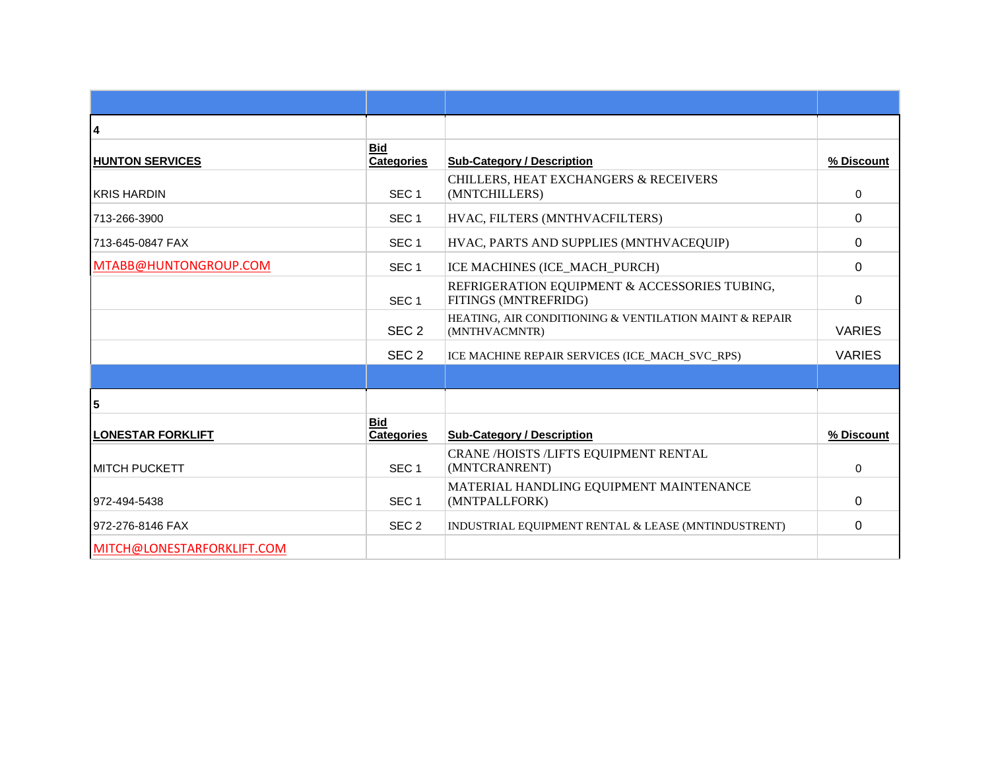| 4                          |                                 |                                                                         |               |
|----------------------------|---------------------------------|-------------------------------------------------------------------------|---------------|
| <b>HUNTON SERVICES</b>     | <b>Bid</b><br><b>Categories</b> | <b>Sub-Category / Description</b>                                       | % Discount    |
| <b>KRIS HARDIN</b>         | SEC <sub>1</sub>                | CHILLERS, HEAT EXCHANGERS & RECEIVERS<br>(MNTCHILLERS)                  | $\Omega$      |
| 713-266-3900               | SEC <sub>1</sub>                | HVAC, FILTERS (MNTHVACFILTERS)                                          | $\Omega$      |
| 713-645-0847 FAX           | SEC <sub>1</sub>                | HVAC, PARTS AND SUPPLIES (MNTHVACEQUIP)                                 | $\Omega$      |
| MTABB@HUNTONGROUP.COM      | SEC <sub>1</sub>                | ICE MACHINES (ICE_MACH_PURCH)                                           | $\Omega$      |
|                            | SEC <sub>1</sub>                | REFRIGERATION EQUIPMENT & ACCESSORIES TUBING,<br>FITINGS (MNTREFRIDG)   | $\Omega$      |
|                            | SEC <sub>2</sub>                | HEATING, AIR CONDITIONING & VENTILATION MAINT & REPAIR<br>(MNTHVACMNTR) | <b>VARIES</b> |
|                            | SEC <sub>2</sub>                | ICE MACHINE REPAIR SERVICES (ICE_MACH_SVC_RPS)                          | <b>VARIES</b> |
|                            |                                 |                                                                         |               |
| 5                          |                                 |                                                                         |               |
| <b>LONESTAR FORKLIFT</b>   | <b>Bid</b><br><b>Categories</b> | <b>Sub-Category / Description</b>                                       | % Discount    |
| <b>IMITCH PUCKETT</b>      | SEC <sub>1</sub>                | CRANE /HOISTS /LIFTS EQUIPMENT RENTAL<br>(MNTCRANRENT)                  | $\Omega$      |
| 972-494-5438               | SEC <sub>1</sub>                | MATERIAL HANDLING EQUIPMENT MAINTENANCE<br>(MNTPALLFORK)                | 0             |
| 972-276-8146 FAX           | SEC <sub>2</sub>                | INDUSTRIAL EQUIPMENT RENTAL & LEASE (MNTINDUSTRENT)                     | 0             |
| MITCH@LONESTARFORKLIFT.COM |                                 |                                                                         |               |